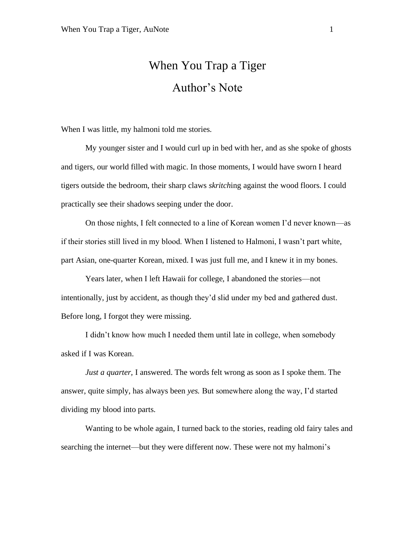## When You Trap a Tiger Author's Note

When I was little, my halmoni told me stories.

My younger sister and I would curl up in bed with her, and as she spoke of ghosts and tigers, our world filled with magic. In those moments, I would have sworn I heard tigers outside the bedroom, their sharp claws *skritch*ing against the wood floors. I could practically see their shadows seeping under the door.

On those nights, I felt connected to a line of Korean women I'd never known—as if their stories still lived in my blood. When I listened to Halmoni, I wasn't part white, part Asian, one-quarter Korean, mixed. I was just full me, and I knew it in my bones.

Years later, when I left Hawaii for college, I abandoned the stories—not intentionally, just by accident, as though they'd slid under my bed and gathered dust. Before long, I forgot they were missing.

I didn't know how much I needed them until late in college, when somebody asked if I was Korean.

*Just a quarter,* I answered. The words felt wrong as soon as I spoke them. The answer, quite simply, has always been *yes.* But somewhere along the way, I'd started dividing my blood into parts.

Wanting to be whole again, I turned back to the stories, reading old fairy tales and searching the internet—but they were different now. These were not my halmoni's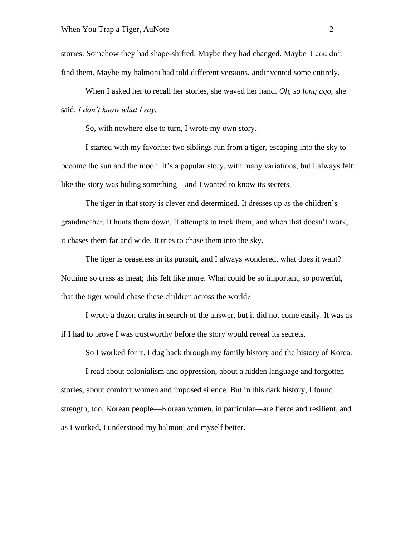stories. Somehow they had shape-shifted. Maybe they had changed. Maybe I couldn't find them. Maybe my halmoni had told different versions, andinvented some entirely.

When I asked her to recall her stories, she waved her hand. *Oh, so long ago,* she said. *I don't know what I say.*

So, with nowhere else to turn, I wrote my own story.

I started with my favorite: two siblings run from a tiger, escaping into the sky to become the sun and the moon. It's a popular story, with many variations, but I always felt like the story was hiding something—and I wanted to know its secrets.

The tiger in that story is clever and determined. It dresses up as the children's grandmother. It hunts them down. It attempts to trick them, and when that doesn't work, it chases them far and wide. It tries to chase them into the sky.

The tiger is ceaseless in its pursuit, and I always wondered, what does it want? Nothing so crass as meat; this felt like more. What could be so important, so powerful, that the tiger would chase these children across the world?

I wrote a dozen drafts in search of the answer, but it did not come easily. It was as if I had to prove I was trustworthy before the story would reveal its secrets.

So I worked for it. I dug back through my family history and the history of Korea.

I read about colonialism and oppression, about a hidden language and forgotten stories, about comfort women and imposed silence. But in this dark history, I found strength, too. Korean people—Korean women, in particular—are fierce and resilient, and as I worked, I understood my halmoni and myself better.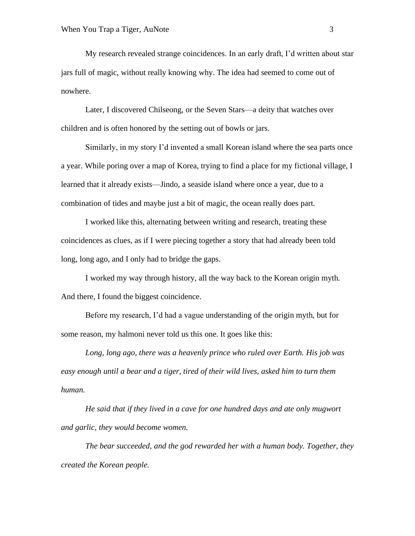My research revealed strange coincidences. In an early draft, I'd written about star jars full of magic, without really knowing why. The idea had seemed to come out of nowhere.

Later, I discovered Chilseong, or the Seven Stars—a deity that watches over children and is often honored by the setting out of bowls or jars.

Similarly, in my story I'd invented a small Korean island where the sea parts once a year. While poring over a map of Korea, trying to find a place for my fictional village, I learned that it already exists—Jindo, a seaside island where once a year, due to a combination of tides and maybe just a bit of magic, the ocean really does part.

I worked like this, alternating between writing and research, treating these coincidences as clues, as if I were piecing together a story that had already been told long, long ago, and I only had to bridge the gaps.

I worked my way through history, all the way back to the Korean origin myth. And there, I found the biggest coincidence.

Before my research, I'd had a vague understanding of the origin myth, but for some reason, my halmoni never told us this one. It goes like this:

*Long, long ago, there was a heavenly prince who ruled over Earth. His job was easy enough until a bear and a tiger, tired of their wild lives, asked him to turn them human.*

*He said that if they lived in a cave for one hundred days and ate only mugwort and garlic, they would become women.*

*The bear succeeded, and the god rewarded her with a human body. Together, they created the Korean people.*